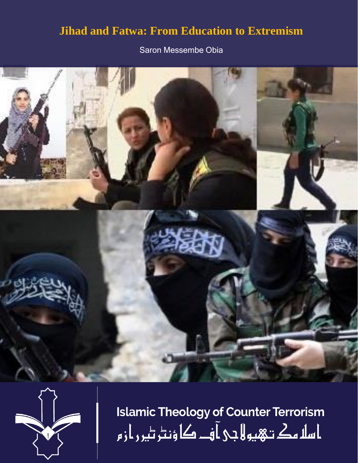# **Jihad and Fatwa: From Education to Extremism**

Saron Messembe Obia





**Islamic Theology of Counter Terrorism** ا سلا مك تـهيو لا جي آ فــ کا ؤنٹر ٹير ر از م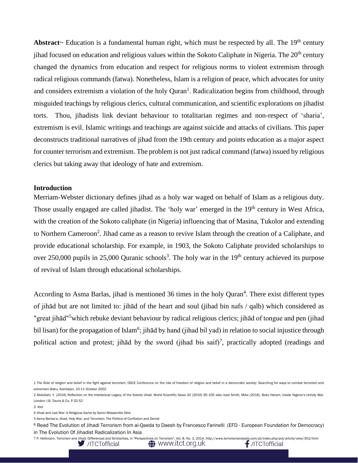Abstract~ Education is a fundamental human right, which must be respected by all. The 19<sup>th</sup> century jihad focused on education and religious values within the Sokoto Caliphate in Nigeria. The 20<sup>th</sup> century changed the dynamics from education and respect for religious norms to violent extremism through radical religious commands (fatwa). Nonetheless, Islam is a religion of peace, which advocates for unity and considers extremism a violation of the holy Quran<sup>1</sup>. Radicalization begins from childhood, through misguided teachings by religious clerics, cultural communication, and scientific explorations on jihadist torts. Thou, jihadists link deviant behaviour to totalitarian regimes and non-respect of 'sharia', extremism is evil. Islamic writings and teachings are against suicide and attacks of civilians. This paper deconstructs traditional narratives of jihad from the 19th century and points education as a major aspect for counter terrorism and extremism. The problem is not just radical command (fatwa) issued by religious clerics but taking away that ideology of hate and extremism.

#### **Introduction**

Merriam-Webster dictionary defines jihad as a holy war waged on behalf of Islam as a religious duty. Those usually engaged are called jihadist. The 'holy war' emerged in the 19<sup>th</sup> century in West Africa, with the creation of the Sokoto caliphate (in Nigeria) influencing that of Masina, Tukolor and extending to Northern Cameroon<sup>2</sup>. Jihad came as a reason to revive Islam through the creation of a Caliphate, and provide educational scholarship. For example, in 1903, the Sokoto Caliphate provided scholarships to over 250,000 pupils in 25,000 Quranic schools<sup>3</sup>. The holy war in the 19<sup>th</sup> century achieved its purpose of revival of Islam through educational scholarships.

According to Asma Barlas, jihad is mentioned 36 times in the holy Quran<sup>4</sup>. There exist different types of jihād but are not limited to: jihād of the heart and soul (jihad bin nafs / qalb) which considered as "great jihād"<sup>5</sup>which rebuke deviant behaviour by radical religious clerics; jihād of tongue and pen (jihad bil lisan) for the propagation of Islam<sup>6</sup>; jihād by hand (jihad bil yad) in relation to social injustice through political action and protest; jihad by the sword (jihad bis saif)<sup>7</sup>, practically adopted (readings and

/ITCTofficial



<sup>1</sup> The Role of religion and belief in the fight against terrorism, OSCE Conference on the role of freedom of religion and belief in a democratic society: Searching for ways to combat terrorism and extremism Baku, Azerbaijin, 10-11 October 2002

<sup>2</sup> Abdullahi, Y. (2016) Reflection on the Intellectual Legacy of the Sokoto Jihad. World Scientific News 32 (2016) 95-105 also read Smith, Mike (2016). Boko Haram. Inside Nigeria's Unholy War. London: I.B. Tauris & Co. P.32-52

<sup>3</sup> Ibid

<sup>4</sup> Jihad and Just War: A Religious Game by Saron Messembe Obia

<sup>5</sup> Asma Barlas's; Jihad, Holy War, and Terrorism: The Politics of Conflation and Denial

<sup>6</sup> Read The Evolution of Jihadi Terrorism from al-Qaeda to Daesh by Francesco Farinelli (EFD - European Foundation for Democracy) in The Evolution Of Jihadist Radicalization In Asia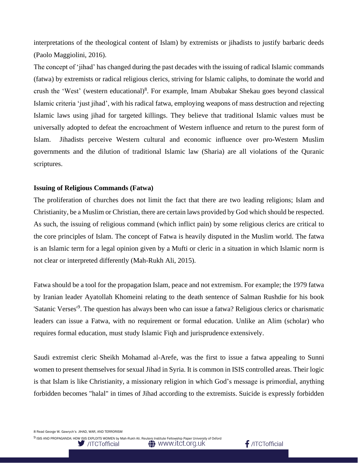interpretations of the theological content of Islam) by extremists or jihadists to justify barbaric deeds (Paolo Maggiolini, 2016).

The concept of 'jihad' has changed during the past decades with the issuing of radical Islamic commands (fatwa) by extremists or radical religious clerics, striving for Islamic caliphs, to dominate the world and crush the 'West' (western educational)<sup>8</sup>. For example, Imam Abubakar Shekau goes beyond classical Islamic criteria 'just jihad', with his radical fatwa, employing weapons of mass destruction and rejecting Islamic laws using jihad for targeted killings. They believe that traditional Islamic values must be universally adopted to defeat the encroachment of Western influence and return to the purest form of Islam. Jihadists perceive Western cultural and economic influence over pro-Western Muslim governments and the dilution of traditional Islamic law (Sharia) are all violations of the Quranic scriptures.

### **Issuing of Religious Commands (Fatwa)**

The proliferation of churches does not limit the fact that there are two leading religions; Islam and Christianity, be a Muslim or Christian, there are certain laws provided by God which should be respected. As such, the issuing of religious command (which inflict pain) by some religious clerics are critical to the core principles of Islam. The concept of Fatwa is heavily disputed in the Muslim world. The fatwa is an Islamic term for a legal opinion given by a Mufti or cleric in a situation in which Islamic norm is not clear or interpreted differently (Mah-Rukh Ali, 2015).

Fatwa should be a tool for the propagation Islam, peace and not extremism. For example; the 1979 fatwa by Iranian leader Ayatollah Khomeini relating to the death sentence of Salman Rushdie for his book 'Satanic Verses'<sup>9</sup>. The question has always been who can issue a fatwa? Religious clerics or charismatic leaders can issue a Fatwa, with no requirement or formal education. Unlike an Alim (scholar) who requires formal education, must study Islamic Fiqh and jurisprudence extensively.

Saudi extremist cleric Sheikh Mohamad al-Arefe, was the first to issue a fatwa appealing to Sunni women to present themselves for sexual Jihad in Syria. It is common in ISIS controlled areas. Their logic is that Islam is like Christianity, a missionary religion in which God's message is primordial, anything forbidden becomes "halal" in times of Jihad according to the extremists. Suicide is expressly forbidden

8 Read George W. Gawrych's JIHAD, WAR, AND TERRORISM



9 ISIS AND PROPAGANDA: HOW ISIS EXPLOITS WOMEN by Mah-Rukh Ali. Reuters Institute Fellowship Paper University of Oxford**♦ www.itct.org.uk**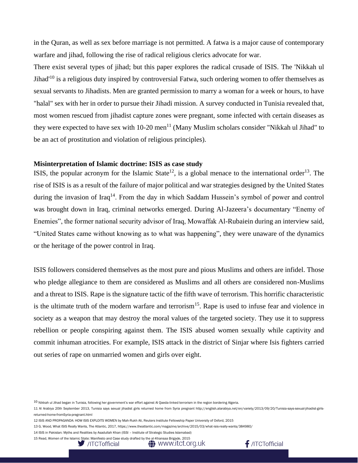in the Quran, as well as sex before marriage is not permitted. A fatwa is a major cause of contemporary warfare and jihad, following the rise of radical religious clerics advocate for war.

There exist several types of jihad; but this paper explores the radical crusade of ISIS. The 'Nikkah ul Jihad'<sup>10</sup> is a religious duty inspired by controversial Fatwa, such ordering women to offer themselves as sexual servants to Jihadists. Men are granted permission to marry a woman for a week or hours, to have "halal" sex with her in order to pursue their Jihadi mission. A survey conducted in Tunisia revealed that, most women rescued from jihadist capture zones were pregnant, some infected with certain diseases as they were expected to have sex with  $10-20$  men<sup>11</sup> (Many Muslim scholars consider "Nikkah ul Jihad" to be an act of prostitution and violation of religious principles).

## **Misinterpretation of Islamic doctrine: ISIS as case study**

ISIS, the popular acronym for the Islamic State<sup>12</sup>, is a global menace to the international order<sup>13</sup>. The rise of ISIS is as a result of the failure of major political and war strategies designed by the United States during the invasion of Iraq<sup>14</sup>. From the day in which Saddam Hussein's symbol of power and control was brought down in Iraq, criminal networks emerged. During Al-Jazeera's documentary "Enemy of Enemies", the former national security advisor of Iraq, Mowaffak Al-Rubaiein during an interview said, "United States came without knowing as to what was happening", they were unaware of the dynamics or the heritage of the power control in Iraq.

ISIS followers considered themselves as the most pure and pious Muslims and others are infidel. Those who pledge allegiance to them are considered as Muslims and all others are considered non-Muslims and a threat to ISIS. Rape is the signature tactic of the fifth wave of terrorism. This horrific characteristic is the ultimate truth of the modern warfare and terrorism<sup>15</sup>. Rape is used to infuse fear and violence in society as a weapon that may destroy the moral values of the targeted society. They use it to suppress rebellion or people conspiring against them. The ISIS abused women sexually while captivity and commit inhuman atrocities. For example, ISIS attack in the district of Sinjar where Isis fighters carried out series of rape on unmarried women and girls over eight.

14 ISIS in Pakistan: Myths and Realities by Asadullah Khan (ISSI – Institute of Strategic Studies Islamabad)

<sup>15</sup> Read, Women of the Islamic State: Manifesto and Case study drafted by the al-Khansaa Brigade, 2015







 $10$  Nikkah ul Jihad began in Tunisia, following her government's war effort against Al Qaeda-linked terrorism in the region bordering Algeria.

<sup>11</sup> Al Arabiya 20th September 2013, Tunisia says sexual jihadist girls returned home from Syria pregnant http://english.alarabiya.net/en/variety/2013/09/20/Tunisia-says-sexual-jihadist-girlsreturned-home-fromSyria-pregnant.html

<sup>12</sup> ISIS AND PROPAGANDA: HOW ISIS EXPLOITS WOMEN by Mah-Rukh Ali, Reuters Institute Fellowship Paper University of Oxford, 2015

<sup>13</sup> G. Wood, What ISIS Really Wants, The Atlantic, 2017, https://www.theatlantic.com/magazine/archive/2015/03/what-isis-really-wants/384980/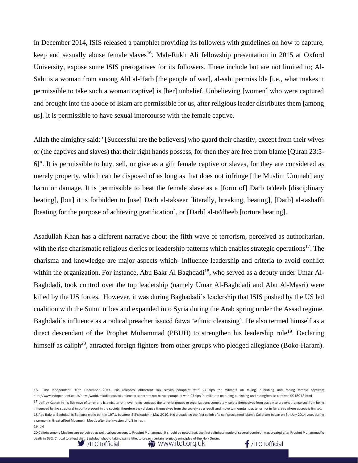In December 2014, ISIS released a pamphlet providing its followers with guidelines on how to capture, keep and sexually abuse female slaves<sup>16</sup>. Mah-Rukh Ali fellowship presentation in 2015 at Oxford University, expose some ISIS prerogatives for its followers. There include but are not limited to; Al-Sabi is a woman from among Ahl al-Harb [the people of war], al-sabi permissible [i.e., what makes it permissible to take such a woman captive] is [her] unbelief. Unbelieving [women] who were captured and brought into the abode of Islam are permissible for us, after religious leader distributes them [among us]. It is permissible to have sexual intercourse with the female captive.

Allah the almighty said: "[Successful are the believers] who guard their chastity, except from their wives or (the captives and slaves) that their right hands possess, for then they are free from blame [Quran 23:5- 6]". It is permissible to buy, sell, or give as a gift female captive or slaves, for they are considered as merely property, which can be disposed of as long as that does not infringe [the Muslim Ummah] any harm or damage. It is permissible to beat the female slave as a [form of] Darb ta'deeb [disciplinary] beating], [but] it is forbidden to [use] Darb al-takseer [literally, breaking, beating], [Darb] al-tashaffi [beating for the purpose of achieving gratification], or [Darb] al-ta'dheeb [torture beating].

Asadullah Khan has a different narrative about the fifth wave of terrorism, perceived as authoritarian, with the rise charismatic religious clerics or leadership patterns which enables strategic operations<sup>17</sup>. The charisma and knowledge are major aspects which- influence leadership and criteria to avoid conflict within the organization. For instance, Abu Bakr Al Baghdadi<sup>18</sup>, who served as a deputy under Umar Al-Baghdadi, took control over the top leadership (namely Umar Al-Baghdadi and Abu Al-Masri) were killed by the US forces. However, it was during Baghadadi's leadership that ISIS pushed by the US led coalition with the Sunni tribes and expanded into Syria during the Arab spring under the Assad regime. Baghdadi's influence as a radical preacher issued fatwa 'ethnic cleansing'. He also termed himself as a direct descendant of the Prophet Muhammad (PBUH) to strengthen his leadership rule<sup>19</sup>. Declaring himself as caliph<sup>20</sup>, attracted foreign fighters from other groups who pledged allegiance (Boko-Haram).

20 Caliphs among Muslims are perceived as political successors to Prophet Muhammad. It should be noted that, the first caliphate made of several dominion was created after Prophet Muhammad´s







<sup>16</sup> The Independent, 10th December 2014, Isis releases 'abhorrent' sex slaves pamphlet with 27 tips for militants on taking, punishing and raping female captives; http://www.independent.co.uk/news/world/middleeast/isis-releases-abhorrent-sex-slaves-pamphlet-with-27-tips-for-militants-on-taking-punishing-and-rapingfemale-captives-9915913.html 17 Jeffrey Kaplan in his 5th wave of terror and Islamist terror movements concept, the terrorist groups or organizations completely isolate themselves from society to prevent themselves from being influenced by the structural impurity present in the society, therefore they distance themselves from the society as a result and move to mountainous terrain or in far areas where access is limited. 18 Abu Bakr al-Baghdadi is Samarra cleric born in 1971, became ISIS's leader in May 2010. His crusade as the first caliph of a self-proclaimed Islamic Caliphate began on 5th July 2014 year, during a sermon in Great alNuri Mosque in Mosul, after the invasion of U.S in Iraq.

<sup>19</sup> Ibid